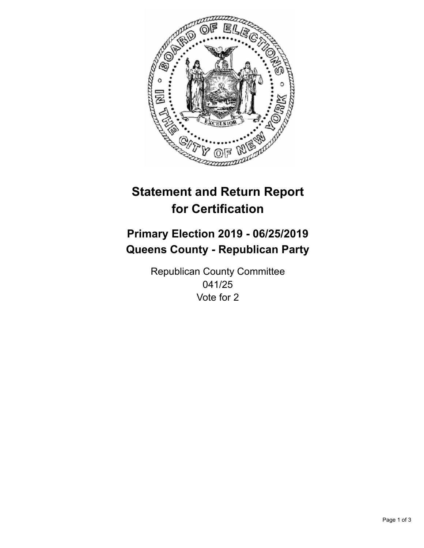

## **Statement and Return Report for Certification**

## **Primary Election 2019 - 06/25/2019 Queens County - Republican Party**

Republican County Committee 041/25 Vote for 2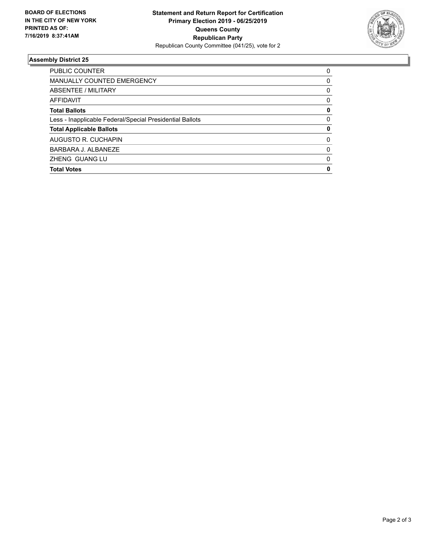

## **Assembly District 25**

| PUBLIC COUNTER                                           | 0        |
|----------------------------------------------------------|----------|
| <b>MANUALLY COUNTED EMERGENCY</b>                        | $\Omega$ |
| ABSENTEE / MILITARY                                      | 0        |
| AFFIDAVIT                                                | 0        |
| <b>Total Ballots</b>                                     | 0        |
| Less - Inapplicable Federal/Special Presidential Ballots | 0        |
| <b>Total Applicable Ballots</b>                          | 0        |
| AUGUSTO R. CUCHAPIN                                      | 0        |
| BARBARA J. ALBANEZE                                      | $\Omega$ |
| <b>ZHENG GUANG LU</b>                                    | 0        |
| <b>Total Votes</b>                                       | 0        |
|                                                          |          |